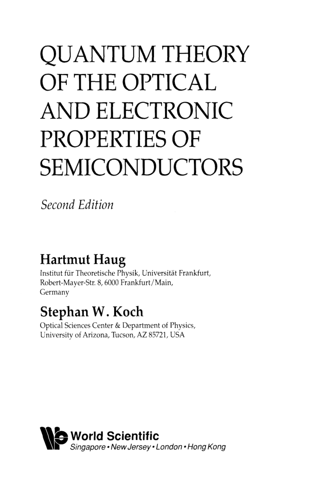# QUANTUM THEORY OF THE OPTICAL AND ELECTRONIC PROPERTIES OF SEMICONDUCTORS

*Second Edition* 

# **Hartmut Haug**

Institut für Theoretische Physik, Universität Frankfurt, Robert-Mayer-Str. 8, 6000 Frankfurt/Main, Germany

# **Stephan W.Koch**

Optical Sciences Center & Department of Physics, University of Arizona, Tucson, AZ 85721, USA

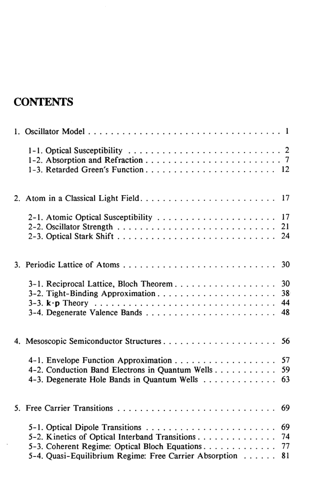## **CONTENTS**

| 17<br>2-1. Atomic Optical Susceptibility<br>21<br>24                                                                                                                               |
|------------------------------------------------------------------------------------------------------------------------------------------------------------------------------------|
|                                                                                                                                                                                    |
| 3-1. Reciprocal Lattice, Bloch Theorem<br>30<br>38 <sup>°</sup><br>44<br>48                                                                                                        |
| 56                                                                                                                                                                                 |
| 4-2. Conduction Band Electrons in Quantum Wells<br>59<br>4-3. Degenerate Hole Bands in Quantum Wells<br>63                                                                         |
| 69                                                                                                                                                                                 |
| 69<br>5-2. Kinetics of Optical Interband Transitions<br>74<br>5-3. Coherent Regime: Optical Bloch Equations.<br>77<br>5-4. Quasi-Equilibrium Regime: Free Carrier Absorption<br>81 |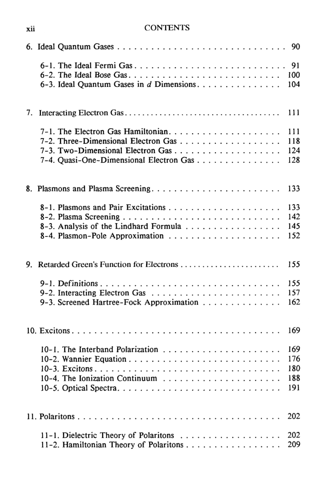### **Xll** CONTENTS

|    |                                                                                                  | 90                              |
|----|--------------------------------------------------------------------------------------------------|---------------------------------|
|    | 6-1. The Ideal Fermi Gas<br>6-2. The Ideal Bose Gas<br>6-3. Ideal Quantum Gases in d Dimensions. | 91<br>100<br>104                |
| 7. |                                                                                                  | 111                             |
|    | 7-2. Three-Dimensional Electron Gas<br>7-4. Quasi-One-Dimensional Electron Gas                   | 111<br>118<br>124<br>128        |
|    |                                                                                                  | 133                             |
|    | 8-3. Analysis of the Lindhard Formula                                                            | 133<br>142<br>145<br>152        |
| 9. |                                                                                                  | 155                             |
|    | 9-3. Screened Hartree-Fock Approximation                                                         | 155<br>157<br>162               |
|    |                                                                                                  | 169                             |
|    |                                                                                                  | 169<br>176<br>180<br>188<br>191 |
|    |                                                                                                  | 202                             |
|    | 11-1. Dielectric Theory of Polaritons<br>11-2. Hamiltonian Theory of Polaritons                  | 202<br>209                      |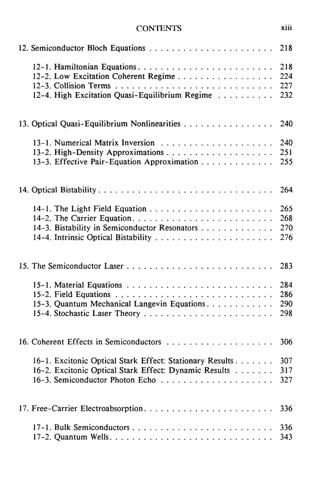#### CONTENTS xiii

|                                                          | 218 |
|----------------------------------------------------------|-----|
| 12-1. Hamiltonian Equations                              | 218 |
| 12-2. Low Excitation Coherent Regime                     | 224 |
|                                                          | 227 |
| 12-4. High Excitation Quasi-Equilibrium Regime           | 232 |
| 13. Optical Quasi-Equilibrium Nonlinearities             | 240 |
|                                                          | 240 |
|                                                          | 251 |
| 13-3. Effective Pair-Equation Approximation              | 255 |
| 14. Optical Bistability                                  | 264 |
|                                                          | 265 |
|                                                          | 268 |
| 14-3. Bistability in Semiconductor Resonators            | 270 |
|                                                          | 276 |
|                                                          | 283 |
|                                                          | 284 |
|                                                          | 286 |
| 15-3. Quantum Mechanical Langevin Equations.             | 290 |
|                                                          | 298 |
| 16. Coherent Effects in Semiconductors                   | 306 |
| 16-1. Excitonic Optical Stark Effect: Stationary Results | 307 |
| 16-2. Excitonic Optical Stark Effect: Dynamic Results    | 317 |
|                                                          | 327 |
|                                                          | 336 |
|                                                          | 336 |
|                                                          | 343 |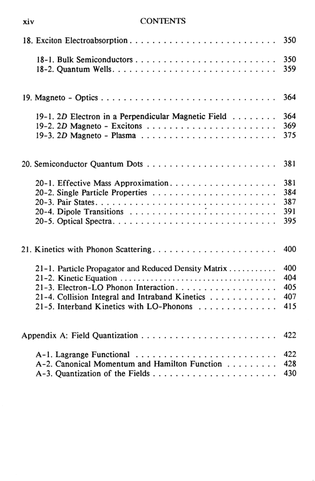#### **XIV** CONTENTS

|                                                      | 350        |
|------------------------------------------------------|------------|
|                                                      | 350<br>359 |
|                                                      | 364        |
| 19-1. 2D Electron in a Perpendicular Magnetic Field  | 364        |
|                                                      | 369        |
|                                                      | 375        |
|                                                      | 381        |
|                                                      | 381        |
|                                                      | 384        |
|                                                      | 387        |
|                                                      | 391        |
|                                                      | 395        |
|                                                      | 400        |
| 21-1. Particle Propagator and Reduced Density Matrix | 400        |
|                                                      | 404        |
| 21-3. Electron-LO Phonon Interaction.                | 405        |
| 21-4. Collision Integral and Intraband Kinetics      | 407        |
| 21-5. Interband Kinetics with LO-Phonons             | 415        |
|                                                      | 422        |
| A-1. Lagrange Functional                             | 422        |
| A-2. Canonical Momentum and Hamilton Function        | 428        |
|                                                      | 430        |